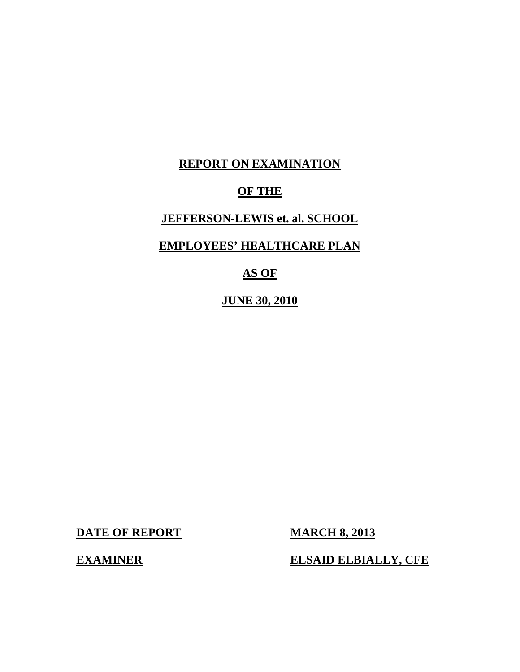# **REPORT ON EXAMINATION**

# **OF THE**

# **JEFFERSON-LEWIS et. al. SCHOOL**

# **EMPLOYEES' HEALTHCARE PLAN**

# **AS OF**

**JUNE 30, 2010** 

**DATE OF REPORT MARCH 8, 2013** 

**EXAMINER ELSAID ELBIALLY, CFE**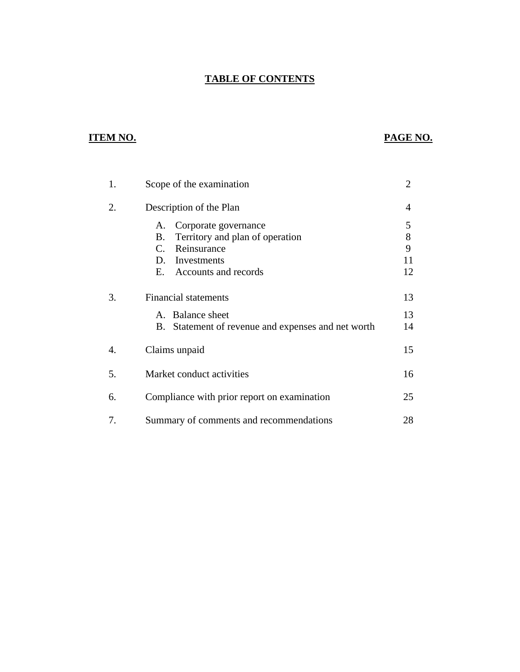## **TABLE OF CONTENTS**

# **ITEM NO. PAGE NO.**

| 1. | Scope of the examination                                                                                                              | $\overline{2}$              |
|----|---------------------------------------------------------------------------------------------------------------------------------------|-----------------------------|
| 2. | Description of the Plan                                                                                                               | 4                           |
|    | Corporate governance<br>Α.<br>Territory and plan of operation<br>В.<br>Reinsurance<br>C.<br>D. Investments<br>E. Accounts and records | 5<br>$8\,$<br>9<br>11<br>12 |
| 3. | <b>Financial statements</b><br>A. Balance sheet<br>B. Statement of revenue and expenses and net worth                                 | 13<br>13<br>14              |
| 4. | Claims unpaid                                                                                                                         | 15                          |
| 5. | Market conduct activities                                                                                                             | 16                          |
| 6. | Compliance with prior report on examination                                                                                           |                             |
| 7. | Summary of comments and recommendations                                                                                               | 28                          |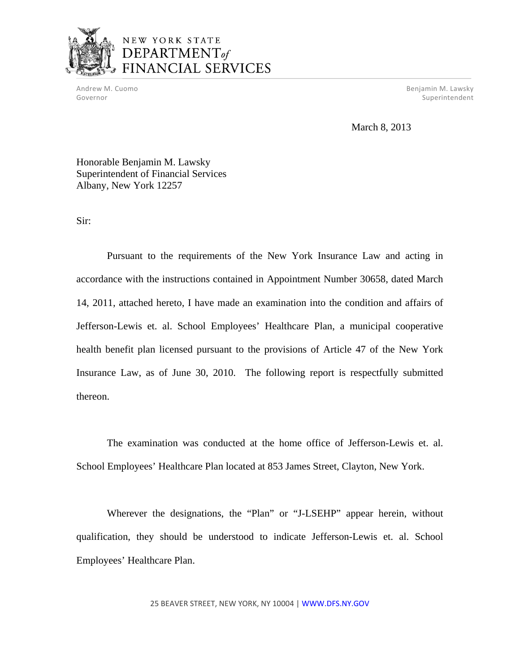

# NEW YORK STATE  $$ FINANCIAL SERVICES

 Andrew M. Cuomo Benjamin M. Lawsky Governor Superintendent and Superintendent and Superintendent and Superintendent and Superintendent and Superintendent

March 8, 2013

Honorable Benjamin M. Lawsky Superintendent of Financial Services Albany, New York 12257

Sir:

Pursuant to the requirements of the New York Insurance Law and acting in accordance with the instructions contained in Appointment Number 30658, dated March 14, 2011, attached hereto, I have made an examination into the condition and affairs of Jefferson-Lewis et. al. School Employees' Healthcare Plan, a municipal cooperative health benefit plan licensed pursuant to the provisions of Article 47 of the New York Insurance Law, as of June 30, 2010. The following report is respectfully submitted thereon.

The examination was conducted at the home office of Jefferson-Lewis et. al. School Employees' Healthcare Plan located at 853 James Street, Clayton, New York.

Wherever the designations, the "Plan" or "J-LSEHP" appear herein, without qualification, they should be understood to indicate Jefferson-Lewis et. al. School Employees' Healthcare Plan.

25 BEAVER STREET, NEW YORK, NY 10004 | <WWW.DFS.NY.GOV>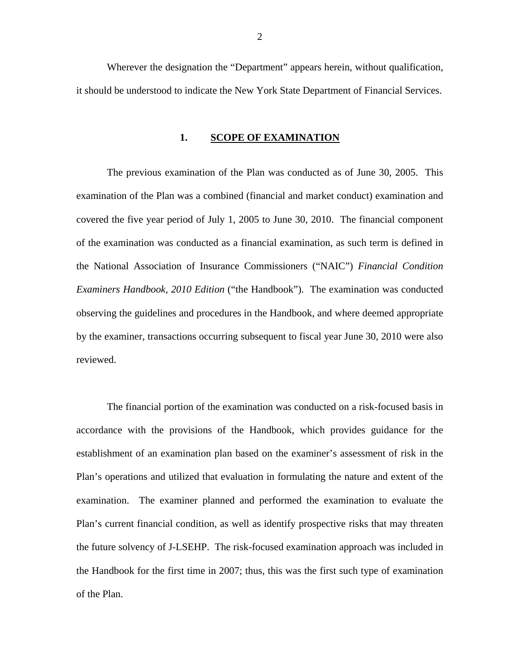<span id="page-3-0"></span>Wherever the designation the "Department" appears herein, without qualification, it should be understood to indicate the New York State Department of Financial Services.

#### **1. SCOPE OF EXAMINATION**

The previous examination of the Plan was conducted as of June 30, 2005. This examination of the Plan was a combined (financial and market conduct) examination and covered the five year period of July 1, 2005 to June 30, 2010. The financial component of the examination was conducted as a financial examination, as such term is defined in the National Association of Insurance Commissioners ("NAIC") *Financial Condition Examiners Handbook, 2010 Edition* ("the Handbook"). The examination was conducted observing the guidelines and procedures in the Handbook, and where deemed appropriate by the examiner, transactions occurring subsequent to fiscal year June 30, 2010 were also reviewed.

The financial portion of the examination was conducted on a risk-focused basis in accordance with the provisions of the Handbook, which provides guidance for the establishment of an examination plan based on the examiner's assessment of risk in the Plan's operations and utilized that evaluation in formulating the nature and extent of the examination. The examiner planned and performed the examination to evaluate the Plan's current financial condition, as well as identify prospective risks that may threaten the future solvency of J-LSEHP. The risk-focused examination approach was included in the Handbook for the first time in 2007; thus, this was the first such type of examination of the Plan.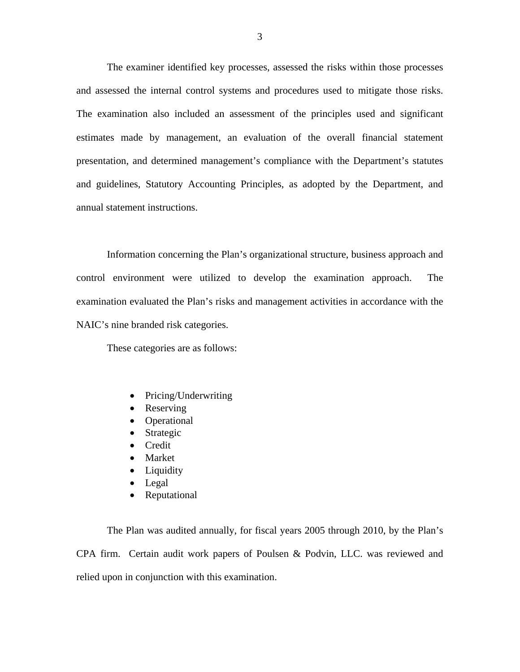The examiner identified key processes, assessed the risks within those processes and assessed the internal control systems and procedures used to mitigate those risks. The examination also included an assessment of the principles used and significant estimates made by management, an evaluation of the overall financial statement presentation, and determined management's compliance with the Department's statutes and guidelines, Statutory Accounting Principles, as adopted by the Department, and annual statement instructions.

Information concerning the Plan's organizational structure, business approach and control environment were utilized to develop the examination approach. The examination evaluated the Plan's risks and management activities in accordance with the NAIC's nine branded risk categories.

These categories are as follows:

- Pricing/Underwriting
- Reserving
- Operational
- Strategic
- **Credit**
- Market
- Liquidity
- Legal
- Reputational

The Plan was audited annually, for fiscal years 2005 through 2010, by the Plan's CPA firm. Certain audit work papers of Poulsen & Podvin, LLC. was reviewed and relied upon in conjunction with this examination.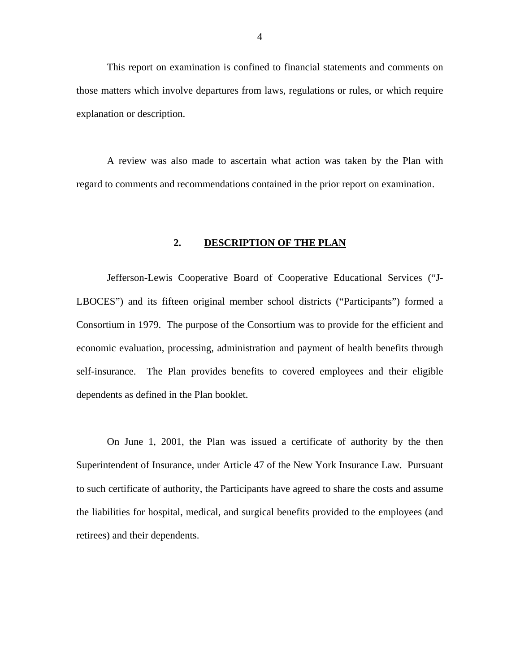<span id="page-5-0"></span>This report on examination is confined to financial statements and comments on those matters which involve departures from laws, regulations or rules, or which require explanation or description.

A review was also made to ascertain what action was taken by the Plan with regard to comments and recommendations contained in the prior report on examination.

#### **2. DESCRIPTION OF THE PLAN**

Jefferson-Lewis Cooperative Board of Cooperative Educational Services ("J-LBOCES") and its fifteen original member school districts ("Participants") formed a Consortium in 1979. The purpose of the Consortium was to provide for the efficient and economic evaluation, processing, administration and payment of health benefits through self-insurance. The Plan provides benefits to covered employees and their eligible dependents as defined in the Plan booklet.

On June 1, 2001, the Plan was issued a certificate of authority by the then Superintendent of Insurance, under Article 47 of the New York Insurance Law. Pursuant to such certificate of authority, the Participants have agreed to share the costs and assume the liabilities for hospital, medical, and surgical benefits provided to the employees (and retirees) and their dependents.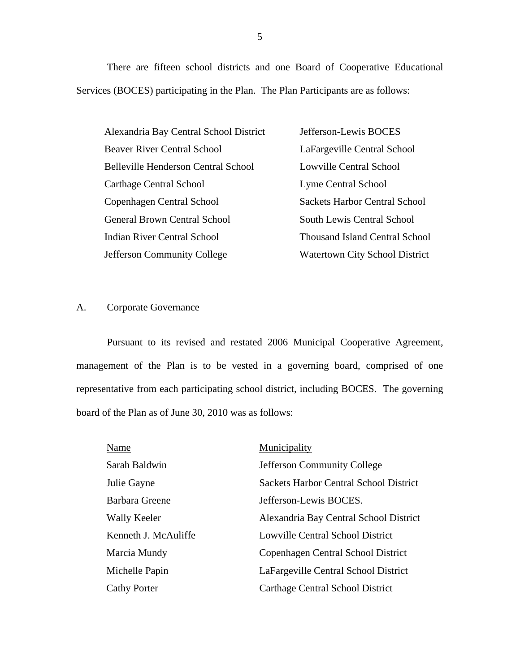There are fifteen school districts and one Board of Cooperative Educational Services (BOCES) participating in the Plan. The Plan Participants are as follows:

Alexandria Bay Central School District Beaver River Central School Belleville Henderson Central School Carthage Central School Copenhagen Central School General Brown Central School Indian River Central School Jefferson Community College

Jefferson-Lewis BOCES LaFargeville Central School Lowville Central School Lyme Central School Sackets Harbor Central School South Lewis Central School Thousand Island Central School Watertown City School District

#### A. Corporate Governance

Pursuant to its revised and restated 2006 Municipal Cooperative Agreement, management of the Plan is to be vested in a governing board, comprised of one representative from each participating school district, including BOCES. The governing board of the Plan as of June 30, 2010 was as follows:

| Name                 | Municipality                                  |
|----------------------|-----------------------------------------------|
| Sarah Baldwin        | <b>Jefferson Community College</b>            |
| Julie Gayne          | <b>Sackets Harbor Central School District</b> |
| Barbara Greene       | Jefferson-Lewis BOCES.                        |
| Wally Keeler         | Alexandria Bay Central School District        |
| Kenneth J. McAuliffe | <b>Lowville Central School District</b>       |
| Marcia Mundy         | Copenhagen Central School District            |
| Michelle Papin       | LaFargeville Central School District          |
| <b>Cathy Porter</b>  | Carthage Central School District              |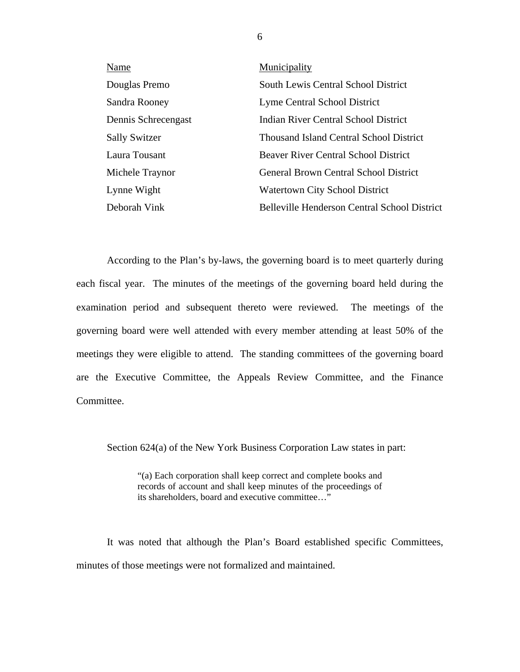| Name                 | Municipality                                 |
|----------------------|----------------------------------------------|
| Douglas Premo        | South Lewis Central School District          |
| Sandra Rooney        | Lyme Central School District                 |
| Dennis Schrecengast  | Indian River Central School District         |
| <b>Sally Switzer</b> | Thousand Island Central School District      |
| Laura Tousant        | <b>Beaver River Central School District</b>  |
| Michele Traynor      | <b>General Brown Central School District</b> |
| Lynne Wight          | <b>Watertown City School District</b>        |
| Deborah Vink         | Belleville Henderson Central School District |

According to the Plan's by-laws, the governing board is to meet quarterly during each fiscal year. The minutes of the meetings of the governing board held during the examination period and subsequent thereto were reviewed. The meetings of the governing board were well attended with every member attending at least 50% of the meetings they were eligible to attend. The standing committees of the governing board are the Executive Committee, the Appeals Review Committee, and the Finance Committee.

Section 624(a) of the New York Business Corporation Law states in part:

"(a) Each corporation shall keep correct and complete books and records of account and shall keep minutes of the proceedings of its shareholders, board and executive committee…"

It was noted that although the Plan's Board established specific Committees, minutes of those meetings were not formalized and maintained.

6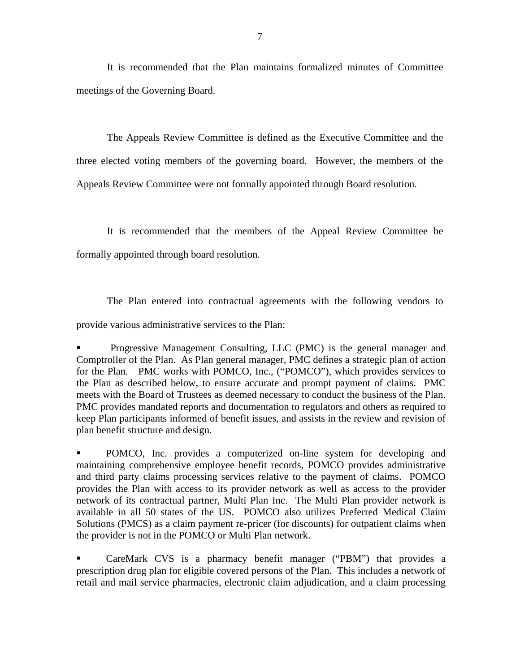It is recommended that the Plan maintains formalized minutes of Committee meetings of the Governing Board.

The Appeals Review Committee is defined as the Executive Committee and the three elected voting members of the governing board. However, the members of the Appeals Review Committee were not formally appointed through Board resolution.

It is recommended that the members of the Appeal Review Committee be formally appointed through board resolution.

The Plan entered into contractual agreements with the following vendors to provide various administrative services to the Plan:

 Progressive Management Consulting, LLC (PMC) is the general manager and Comptroller of the Plan. As Plan general manager, PMC defines a strategic plan of action for the Plan. PMC works with POMCO, Inc., ("POMCO"), which provides services to the Plan as described below, to ensure accurate and prompt payment of claims. PMC meets with the Board of Trustees as deemed necessary to conduct the business of the Plan. PMC provides mandated reports and documentation to regulators and others as required to keep Plan participants informed of benefit issues, and assists in the review and revision of plan benefit structure and design.

 POMCO, Inc. provides a computerized on-line system for developing and maintaining comprehensive employee benefit records, POMCO provides administrative and third party claims processing services relative to the payment of claims. POMCO provides the Plan with access to its provider network as well as access to the provider network of its contractual partner, Multi Plan Inc. The Multi Plan provider network is available in all 50 states of the US. POMCO also utilizes Preferred Medical Claim Solutions (PMCS) as a claim payment re-pricer (for discounts) for outpatient claims when the provider is not in the POMCO or Multi Plan network.

 CareMark CVS is a pharmacy benefit manager ("PBM") that provides a prescription drug plan for eligible covered persons of the Plan. This includes a network of retail and mail service pharmacies, electronic claim adjudication, and a claim processing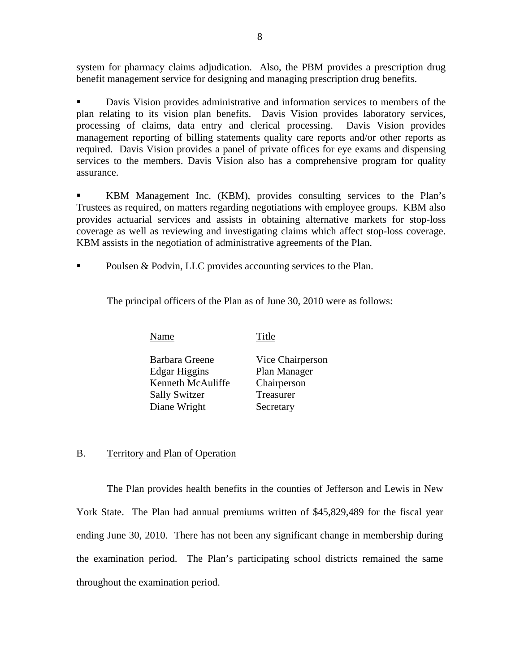<span id="page-9-0"></span> system for pharmacy claims adjudication. Also, the PBM provides a prescription drug benefit management service for designing and managing prescription drug benefits.

 Davis Vision provides administrative and information services to members of the plan relating to its vision plan benefits. Davis Vision provides laboratory services, processing of claims, data entry and clerical processing. Davis Vision provides management reporting of billing statements quality care reports and/or other reports as required. Davis Vision provides a panel of private offices for eye exams and dispensing services to the members. Davis Vision also has a comprehensive program for quality assurance.

 KBM Management Inc. (KBM), provides consulting services to the Plan's Trustees as required, on matters regarding negotiations with employee groups. KBM also provides actuarial services and assists in obtaining alternative markets for stop-loss coverage as well as reviewing and investigating claims which affect stop-loss coverage. KBM assists in the negotiation of administrative agreements of the Plan.

• Poulsen & Podvin, LLC provides accounting services to the Plan.

The principal officers of the Plan as of June 30, 2010 were as follows:

Name Title

Barbara Greene Vice Chairperson Edgar Higgins Plan Manager Kenneth McAuliffe Chairperson Sally Switzer Treasurer Diane Wright Secretary

## B. Territory and Plan of Operation

The Plan provides health benefits in the counties of Jefferson and Lewis in New York State. The Plan had annual premiums written of \$45,829,489 for the fiscal year ending June 30, 2010. There has not been any significant change in membership during the examination period. The Plan's participating school districts remained the same throughout the examination period.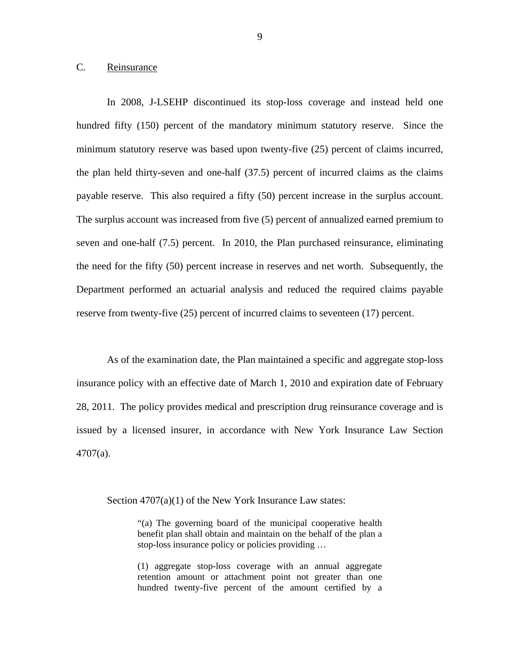### <span id="page-10-0"></span>C. Reinsurance

In 2008, J-LSEHP discontinued its stop-loss coverage and instead held one hundred fifty (150) percent of the mandatory minimum statutory reserve. Since the minimum statutory reserve was based upon twenty-five (25) percent of claims incurred, the plan held thirty-seven and one-half (37.5) percent of incurred claims as the claims payable reserve. This also required a fifty (50) percent increase in the surplus account. The surplus account was increased from five (5) percent of annualized earned premium to seven and one-half (7.5) percent. In 2010, the Plan purchased reinsurance, eliminating the need for the fifty (50) percent increase in reserves and net worth. Subsequently, the Department performed an actuarial analysis and reduced the required claims payable reserve from twenty-five (25) percent of incurred claims to seventeen (17) percent.

As of the examination date, the Plan maintained a specific and aggregate stop-loss insurance policy with an effective date of March 1, 2010 and expiration date of February 28, 2011. The policy provides medical and prescription drug reinsurance coverage and is issued by a licensed insurer, in accordance with New York Insurance Law Section 4707(a).

Section 4707(a)(1) of the New York Insurance Law states:

"(a) The governing board of the municipal cooperative health benefit plan shall obtain and maintain on the behalf of the plan a stop-loss insurance policy or policies providing …

(1) aggregate stop-loss coverage with an annual aggregate retention amount or attachment point not greater than one hundred twenty-five percent of the amount certified by a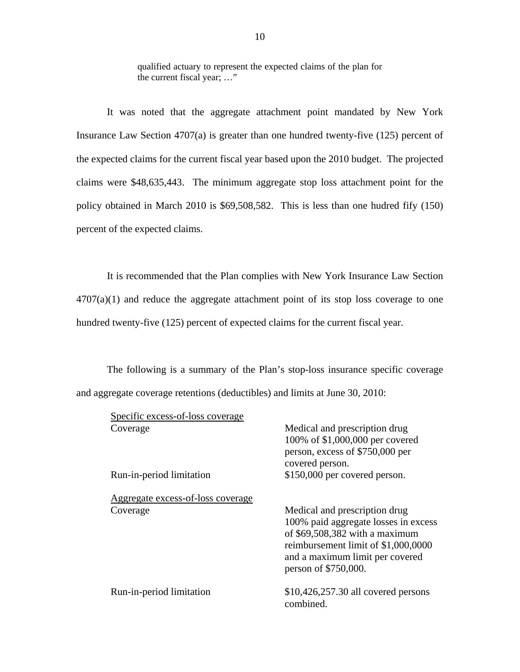qualified actuary to represent the expected claims of the plan for the current fiscal year; …"

It was noted that the aggregate attachment point mandated by New York Insurance Law Section 4707(a) is greater than one hundred twenty-five (125) percent of the expected claims for the current fiscal year based upon the 2010 budget. The projected claims were \$48,635,443. The minimum aggregate stop loss attachment point for the policy obtained in March 2010 is \$69,508,582. This is less than one hudred fify (150) percent of the expected claims.

It is recommended that the Plan complies with New York Insurance Law Section  $4707(a)(1)$  and reduce the aggregate attachment point of its stop loss coverage to one hundred twenty-five (125) percent of expected claims for the current fiscal year.

The following is a summary of the Plan's stop-loss insurance specific coverage and aggregate coverage retentions (deductibles) and limits at June 30, 2010:

| Specific excess-of-loss coverage              |                                                                                                                                                                                                            |
|-----------------------------------------------|------------------------------------------------------------------------------------------------------------------------------------------------------------------------------------------------------------|
| Coverage                                      | Medical and prescription drug<br>100% of \$1,000,000 per covered<br>person, excess of \$750,000 per<br>covered person.                                                                                     |
| Run-in-period limitation                      | \$150,000 per covered person.                                                                                                                                                                              |
| Aggregate excess-of-loss coverage<br>Coverage | Medical and prescription drug<br>100% paid aggregate losses in excess<br>of $$69,508,382$ with a maximum<br>reimbursement limit of \$1,000,0000<br>and a maximum limit per covered<br>person of \$750,000. |
| Run-in-period limitation                      | \$10,426,257.30 all covered persons<br>combined.                                                                                                                                                           |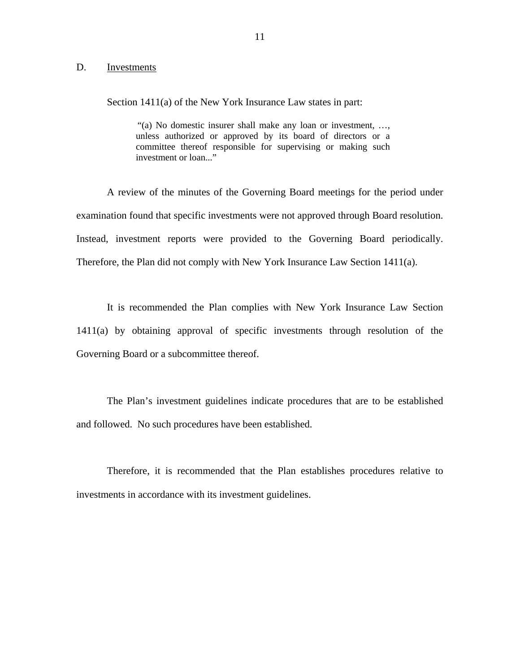#### <span id="page-12-0"></span>D. Investments

Section 1411(a) of the New York Insurance Law states in part:

"(a) No domestic insurer shall make any loan or investment, …, unless authorized or approved by its board of directors or a committee thereof responsible for supervising or making such investment or loan..."

A review of the minutes of the Governing Board meetings for the period under examination found that specific investments were not approved through Board resolution. Instead, investment reports were provided to the Governing Board periodically. Therefore, the Plan did not comply with New York Insurance Law Section 1411(a).

It is recommended the Plan complies with New York Insurance Law Section 1411(a) by obtaining approval of specific investments through resolution of the Governing Board or a subcommittee thereof.

The Plan's investment guidelines indicate procedures that are to be established and followed. No such procedures have been established.

Therefore, it is recommended that the Plan establishes procedures relative to investments in accordance with its investment guidelines.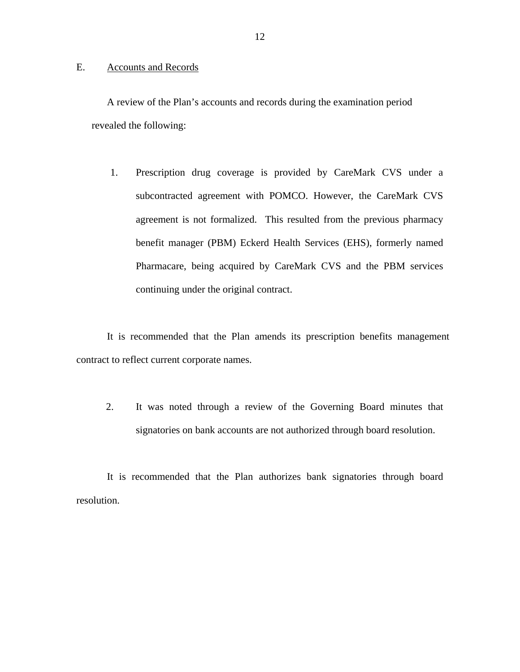#### <span id="page-13-0"></span>E. Accounts and Records

A review of the Plan's accounts and records during the examination period revealed the following:

1. Prescription drug coverage is provided by CareMark CVS under a subcontracted agreement with POMCO. However, the CareMark CVS agreement is not formalized. This resulted from the previous pharmacy benefit manager (PBM) Eckerd Health Services (EHS), formerly named Pharmacare, being acquired by CareMark CVS and the PBM services continuing under the original contract.

It is recommended that the Plan amends its prescription benefits management contract to reflect current corporate names.

signatories on bank accounts are not authorized through board resolution. 2. It was noted through a review of the Governing Board minutes that

It is recommended that the Plan authorizes bank signatories through board resolution.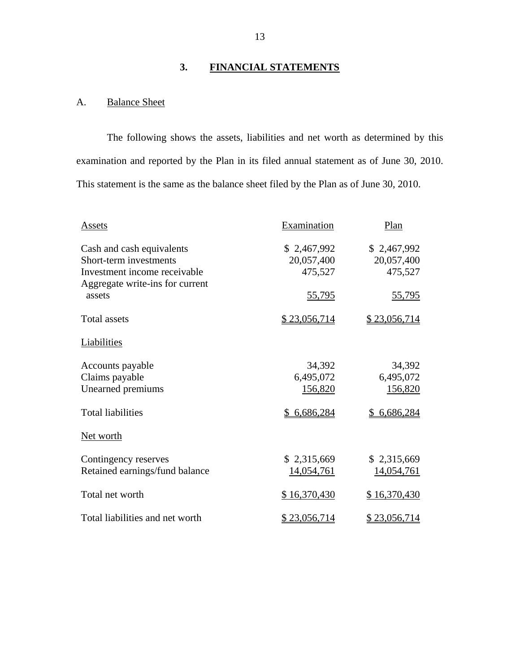# **3. FINANCIAL STATEMENTS**

## A. Balance Sheet

The following shows the assets, liabilities and net worth as determined by this examination and reported by the Plan in its filed annual statement as of June 30, 2010. This statement is the same as the balance sheet filed by the Plan as of June 30, 2010.

| Assets                          | Examination  | Plan              |
|---------------------------------|--------------|-------------------|
| Cash and cash equivalents       | \$2,467,992  | \$2,467,992       |
| Short-term investments          | 20,057,400   | 20,057,400        |
| Investment income receivable    | 475,527      | 475,527           |
| Aggregate write-ins for current |              |                   |
| assets                          | 55,795       | <u>55,795</u>     |
|                                 |              |                   |
| Total assets                    | \$23,056,714 | \$23,056,714      |
|                                 |              |                   |
| Liabilities                     |              |                   |
| Accounts payable                | 34,392       | 34,392            |
| Claims payable                  | 6,495,072    | 6,495,072         |
| Unearned premiums               | 156,820      | 156,820           |
|                                 |              |                   |
| <b>Total liabilities</b>        | \$6,686,284  | \$6,686,284       |
|                                 |              |                   |
| Net worth                       |              |                   |
| Contingency reserves            | \$2,315,669  | \$2,315,669       |
|                                 |              |                   |
| Retained earnings/fund balance  | 14,054,761   | <u>14,054,761</u> |
| Total net worth                 | \$16,370,430 | \$16,370,430      |
|                                 |              |                   |
| Total liabilities and net worth | \$23,056,714 | \$23,056,714      |
|                                 |              |                   |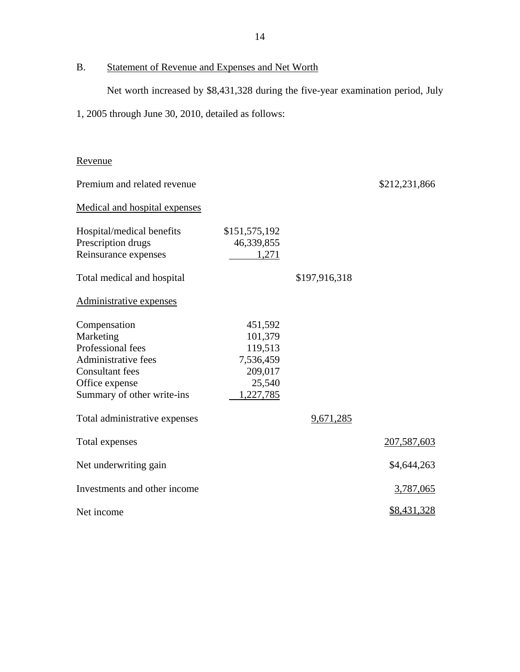# B. Statement of Revenue and Expenses and Net Worth

Net worth increased by \$8,431,328 during the five-year examination period, July

1, 2005 through June 30, 2010, detailed as follows:

# Revenue

| Premium and related revenue                                                                                                                     |                                                                              |               | \$212,231,866      |
|-------------------------------------------------------------------------------------------------------------------------------------------------|------------------------------------------------------------------------------|---------------|--------------------|
| <b>Medical and hospital expenses</b>                                                                                                            |                                                                              |               |                    |
| Hospital/medical benefits<br>Prescription drugs<br>Reinsurance expenses                                                                         | \$151,575,192<br>46,339,855<br>1,271                                         |               |                    |
| Total medical and hospital                                                                                                                      |                                                                              | \$197,916,318 |                    |
| Administrative expenses                                                                                                                         |                                                                              |               |                    |
| Compensation<br>Marketing<br>Professional fees<br>Administrative fees<br><b>Consultant fees</b><br>Office expense<br>Summary of other write-ins | 451,592<br>101,379<br>119,513<br>7,536,459<br>209,017<br>25,540<br>1,227,785 |               |                    |
| Total administrative expenses                                                                                                                   |                                                                              | 9,671,285     |                    |
| Total expenses                                                                                                                                  |                                                                              |               | 207,587,603        |
| Net underwriting gain                                                                                                                           |                                                                              |               | \$4,644,263        |
| Investments and other income                                                                                                                    |                                                                              |               | 3,787,065          |
| Net income                                                                                                                                      |                                                                              |               | <u>\$8,431,328</u> |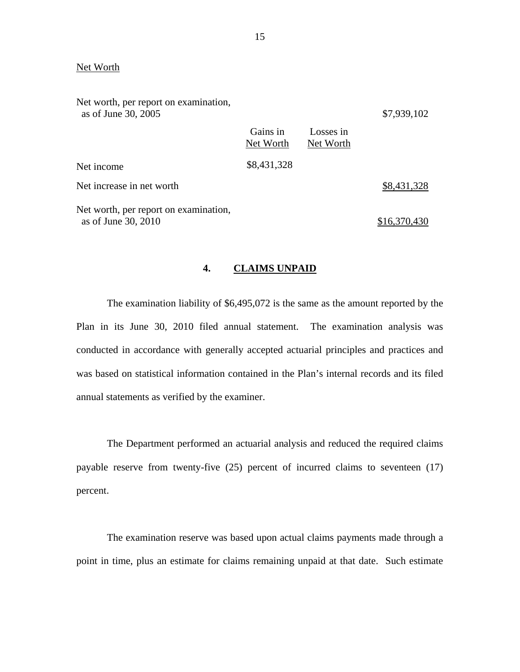#### Net Worth

| Net worth, per report on examination,<br>as of June 30, 2005 |                       |                        | \$7,939,102  |
|--------------------------------------------------------------|-----------------------|------------------------|--------------|
|                                                              | Gains in<br>Net Worth | Losses in<br>Net Worth |              |
| Net income                                                   | \$8,431,328           |                        |              |
| Net increase in net worth                                    |                       |                        | \$8,431,328  |
| Net worth, per report on examination,<br>as of June 30, 2010 |                       |                        | \$16,370,430 |

#### **4. CLAIMS UNPAID**

The examination liability of \$6,495,072 is the same as the amount reported by the Plan in its June 30, 2010 filed annual statement. The examination analysis was conducted in accordance with generally accepted actuarial principles and practices and was based on statistical information contained in the Plan's internal records and its filed annual statements as verified by the examiner.

The Department performed an actuarial analysis and reduced the required claims payable reserve from twenty-five (25) percent of incurred claims to seventeen (17) percent.

The examination reserve was based upon actual claims payments made through a point in time, plus an estimate for claims remaining unpaid at that date. Such estimate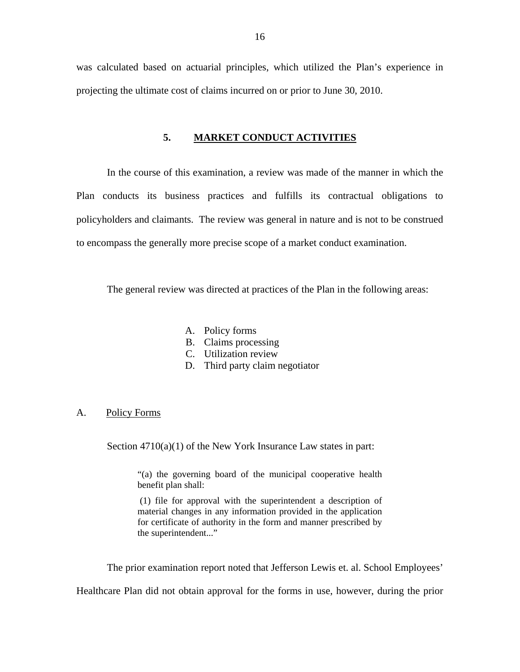<span id="page-17-0"></span>was calculated based on actuarial principles, which utilized the Plan's experience in projecting the ultimate cost of claims incurred on or prior to June 30, 2010.

#### **5. MARKET CONDUCT ACTIVITIES**

In the course of this examination, a review was made of the manner in which the Plan conducts its business practices and fulfills its contractual obligations to policyholders and claimants. The review was general in nature and is not to be construed to encompass the generally more precise scope of a market conduct examination.

The general review was directed at practices of the Plan in the following areas:

- A. Policy forms
- B. Claims processing
- C. Utilization review
- D. Third party claim negotiator

#### A. Policy Forms

Section  $4710(a)(1)$  of the New York Insurance Law states in part:

"(a) the governing board of the municipal cooperative health benefit plan shall:

 for certificate of authority in the form and manner prescribed by (1) file for approval with the superintendent a description of material changes in any information provided in the application the superintendent..."

The prior examination report noted that Jefferson Lewis et. al. School Employees'

Healthcare Plan did not obtain approval for the forms in use, however, during the prior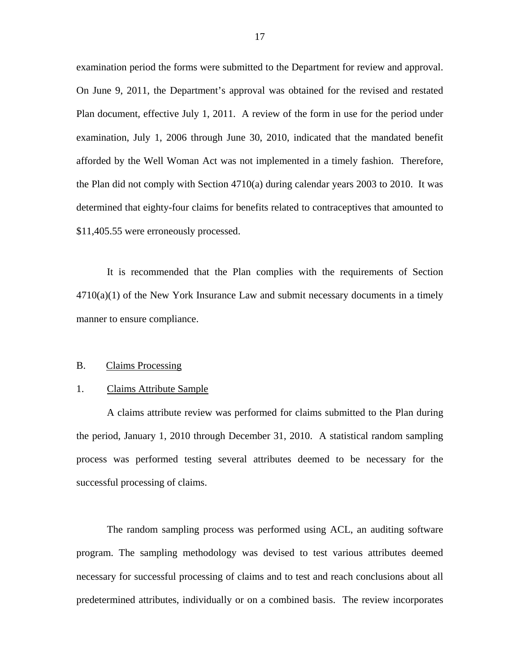examination period the forms were submitted to the Department for review and approval. On June 9, 2011, the Department's approval was obtained for the revised and restated Plan document, effective July 1, 2011. A review of the form in use for the period under examination, July 1, 2006 through June 30, 2010, indicated that the mandated benefit afforded by the Well Woman Act was not implemented in a timely fashion. Therefore, the Plan did not comply with Section 4710(a) during calendar years 2003 to 2010. It was determined that eighty-four claims for benefits related to contraceptives that amounted to [\\$11,405.55](https://11,405.55) were erroneously processed.

It is recommended that the Plan complies with the requirements of Section  $4710(a)(1)$  of the New York Insurance Law and submit necessary documents in a timely manner to ensure compliance.

#### B. Claims Processing

#### 1. Claims Attribute Sample

A claims attribute review was performed for claims submitted to the Plan during the period, January 1, 2010 through December 31, 2010. A statistical random sampling process was performed testing several attributes deemed to be necessary for the successful processing of claims.

The random sampling process was performed using ACL, an auditing software program. The sampling methodology was devised to test various attributes deemed necessary for successful processing of claims and to test and reach conclusions about all predetermined attributes, individually or on a combined basis. The review incorporates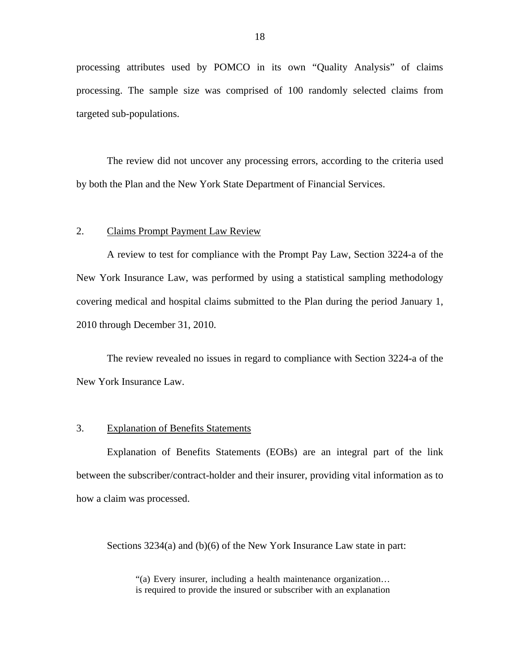processing attributes used by POMCO in its own "Quality Analysis" of claims processing. The sample size was comprised of 100 randomly selected claims from targeted sub-populations.

The review did not uncover any processing errors, according to the criteria used by both the Plan and the New York State Department of Financial Services.

#### 2. Claims Prompt Payment Law Review

A review to test for compliance with the Prompt Pay Law, Section 3224-a of the New York Insurance Law, was performed by using a statistical sampling methodology covering medical and hospital claims submitted to the Plan during the period January 1, 2010 through December 31, 2010.

The review revealed no issues in regard to compliance with Section 3224-a of the New York Insurance Law.

#### 3. Explanation of Benefits Statements

Explanation of Benefits Statements (EOBs) are an integral part of the link between the subscriber/contract-holder and their insurer, providing vital information as to how a claim was processed.

Sections 3234(a) and (b)(6) of the New York Insurance Law state in part:

"(a) Every insurer, including a health maintenance organization… is required to provide the insured or subscriber with an explanation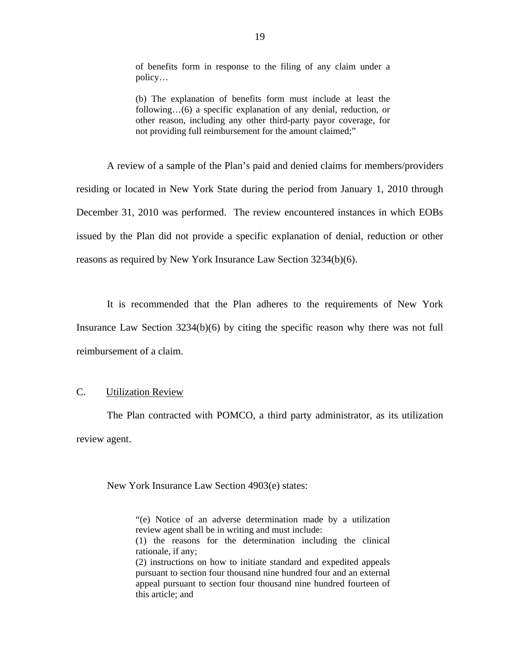of benefits form in response to the filing of any claim under a policy…

(b) The explanation of benefits form must include at least the following…(6) a specific explanation of any denial, reduction, or other reason, including any other third-party payor coverage, for not providing full reimbursement for the amount claimed;"

A review of a sample of the Plan's paid and denied claims for members/providers residing or located in New York State during the period from January 1, 2010 through December 31, 2010 was performed. The review encountered instances in which EOBs issued by the Plan did not provide a specific explanation of denial, reduction or other reasons as required by New York Insurance Law Section 3234(b)(6).

It is recommended that the Plan adheres to the requirements of New York Insurance Law Section 3234(b)(6) by citing the specific reason why there was not full reimbursement of a claim.

### C. Utilization Review

The Plan contracted with POMCO, a third party administrator, as its utilization review agent.

New York Insurance Law Section 4903(e) states:

- "(e) Notice of an adverse determination made by a utilization review agent shall be in writing and must include:
- (1) the reasons for the determination including the clinical rationale, if any;

(2) instructions on how to initiate standard and expedited appeals pursuant to section four thousand nine hundred four and an external appeal pursuant to section four thousand nine hundred fourteen of this article; and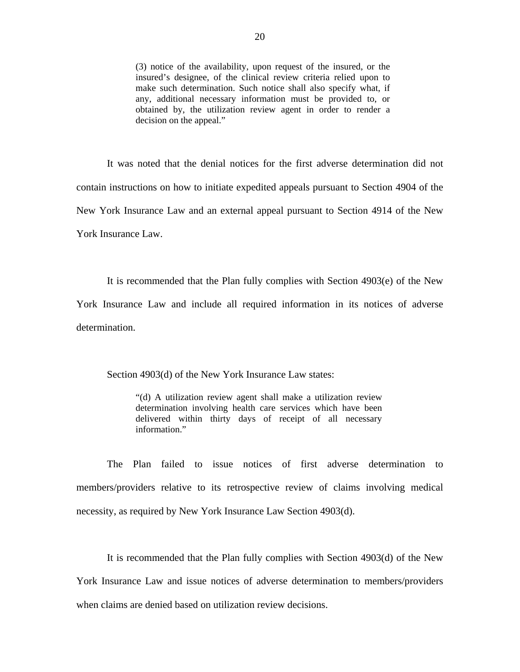(3) notice of the availability, upon request of the insured, or the insured's designee, of the clinical review criteria relied upon to make such determination. Such notice shall also specify what, if any, additional necessary information must be provided to, or obtained by, the utilization review agent in order to render a decision on the appeal."

It was noted that the denial notices for the first adverse determination did not contain instructions on how to initiate expedited appeals pursuant to Section 4904 of the New York Insurance Law and an external appeal pursuant to Section 4914 of the New York Insurance Law.

It is recommended that the Plan fully complies with Section 4903(e) of the New York Insurance Law and include all required information in its notices of adverse determination.

Section 4903(d) of the New York Insurance Law states:

"(d) A utilization review agent shall make a utilization review determination involving health care services which have been delivered within thirty days of receipt of all necessary information."

The Plan failed to issue notices of first adverse determination to members/providers relative to its retrospective review of claims involving medical necessity, as required by New York Insurance Law Section 4903(d).

It is recommended that the Plan fully complies with Section 4903(d) of the New York Insurance Law and issue notices of adverse determination to members/providers when claims are denied based on utilization review decisions.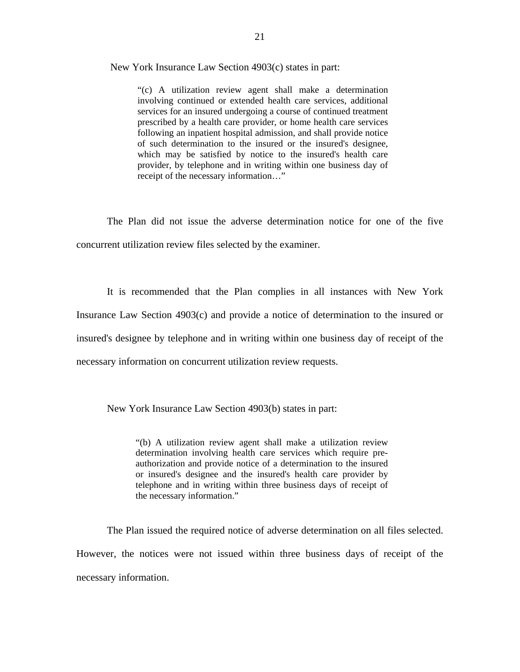New York Insurance Law Section 4903(c) states in part:

"(c) A utilization review agent shall make a determination involving continued or extended health care services, additional services for an insured undergoing a course of continued treatment prescribed by a health care provider, or home health care services following an inpatient hospital admission, and shall provide notice of such determination to the insured or the insured's designee, which may be satisfied by notice to the insured's health care provider, by telephone and in writing within one business day of receipt of the necessary information…"

The Plan did not issue the adverse determination notice for one of the five concurrent utilization review files selected by the examiner.

It is recommended that the Plan complies in all instances with New York Insurance Law Section 4903(c) and provide a notice of determination to the insured or insured's designee by telephone and in writing within one business day of receipt of the necessary information on concurrent utilization review requests.

New York Insurance Law Section 4903(b) states in part:

"(b) A utilization review agent shall make a utilization review determination involving health care services which require preauthorization and provide notice of a determination to the insured or insured's designee and the insured's health care provider by telephone and in writing within three business days of receipt of the necessary information."

The Plan issued the required notice of adverse determination on all files selected. However, the notices were not issued within three business days of receipt of the necessary information.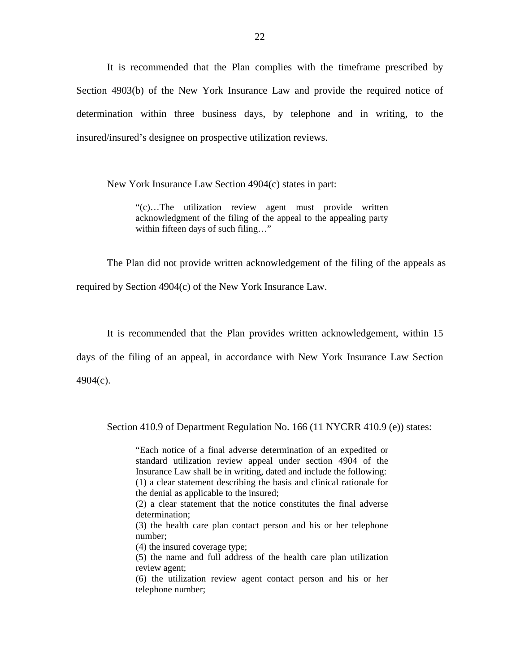It is recommended that the Plan complies with the timeframe prescribed by Section 4903(b) of the New York Insurance Law and provide the required notice of determination within three business days, by telephone and in writing, to the insured/insured's designee on prospective utilization reviews.

New York Insurance Law Section 4904(c) states in part:

"(c)…The utilization review agent must provide written acknowledgment of the filing of the appeal to the appealing party within fifteen days of such filing…"

The Plan did not provide written acknowledgement of the filing of the appeals as required by Section 4904(c) of the New York Insurance Law.

It is recommended that the Plan provides written acknowledgement, within 15

days of the filing of an appeal, in accordance with New York Insurance Law Section

4904(c).

Section 410.9 of Department Regulation No. 166 (11 NYCRR 410.9 (e)) states:

"Each notice of a final adverse determination of an expedited or standard utilization review appeal under section 4904 of the Insurance Law shall be in writing, dated and include the following: (1) a clear statement describing the basis and clinical rationale for the denial as applicable to the insured;

(2) a clear statement that the notice constitutes the final adverse determination;

(3) the health care plan contact person and his or her telephone number;

(4) the insured coverage type;

(5) the name and full address of the health care plan utilization review agent;

(6) the utilization review agent contact person and his or her telephone number;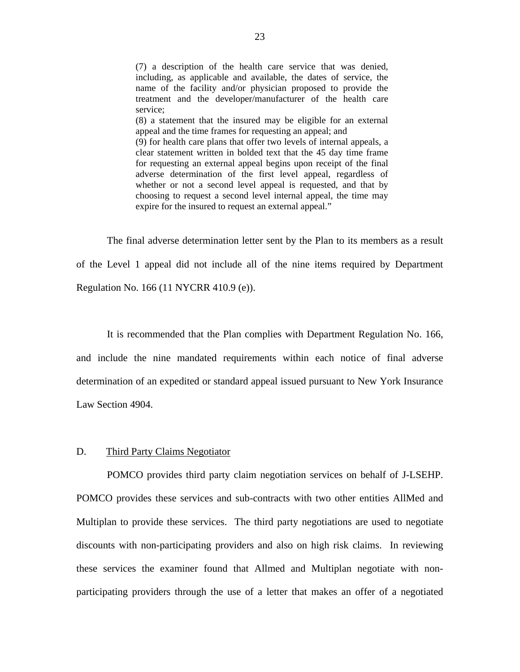(7) a description of the health care service that was denied, including, as applicable and available, the dates of service, the name of the facility and/or physician proposed to provide the treatment and the developer/manufacturer of the health care service; (8) a statement that the insured may be eligible for an external appeal and the time frames for requesting an appeal; and (9) for health care plans that offer two levels of internal appeals, a clear statement written in bolded text that the 45 day time frame for requesting an external appeal begins upon receipt of the final adverse determination of the first level appeal, regardless of whether or not a second level appeal is requested, and that by choosing to request a second level internal appeal, the time may expire for the insured to request an external appeal."

The final adverse determination letter sent by the Plan to its members as a result of the Level 1 appeal did not include all of the nine items required by Department Regulation No. 166 (11 NYCRR 410.9 (e)).

It is recommended that the Plan complies with Department Regulation No. 166, and include the nine mandated requirements within each notice of final adverse determination of an expedited or standard appeal issued pursuant to New York Insurance Law Section 4904.

#### D. Third Party Claims Negotiator

POMCO provides third party claim negotiation services on behalf of J-LSEHP. POMCO provides these services and sub-contracts with two other entities AllMed and Multiplan to provide these services. The third party negotiations are used to negotiate discounts with non-participating providers and also on high risk claims. In reviewing these services the examiner found that Allmed and Multiplan negotiate with nonparticipating providers through the use of a letter that makes an offer of a negotiated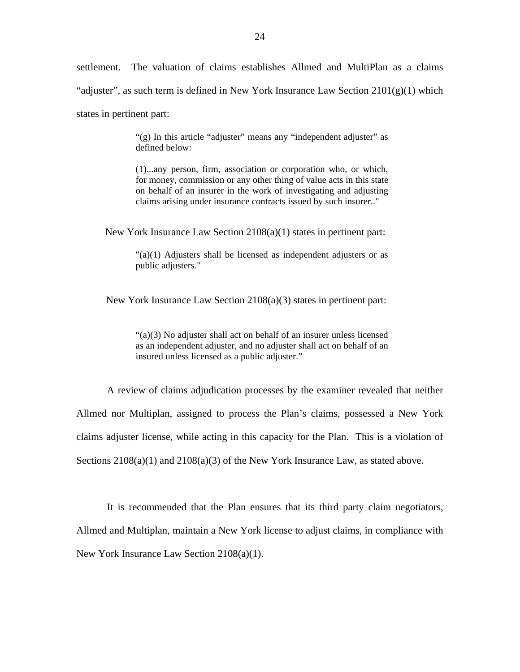settlement. The valuation of claims establishes Allmed and MultiPlan as a claims "adjuster", as such term is defined in New York Insurance Law Section  $2101(g)(1)$  which states in pertinent part:

> "(g) In this article "adjuster" means any "independent adjuster" as defined below:

> (1)...any person, firm, association or corporation who, or which, for money, commission or any other thing of value acts in this state on behalf of an insurer in the work of investigating and adjusting claims arising under insurance contracts issued by such insurer.."

New York Insurance Law Section 2108(a)(1) states in pertinent part:

"(a)(1) Adjusters shall be licensed as independent adjusters or as public adjusters."

New York Insurance Law Section 2108(a)(3) states in pertinent part:

"(a)(3) No adjuster shall act on behalf of an insurer unless licensed as an independent adjuster, and no adjuster shall act on behalf of an insured unless licensed as a public adjuster."

A review of claims adjudication processes by the examiner revealed that neither Allmed nor Multiplan, assigned to process the Plan's claims, possessed a New York claims adjuster license, while acting in this capacity for the Plan. This is a violation of Sections  $2108(a)(1)$  and  $2108(a)(3)$  of the New York Insurance Law, as stated above.

It is recommended that the Plan ensures that its third party claim negotiators, Allmed and Multiplan, maintain a New York license to adjust claims, in compliance with New York Insurance Law Section 2108(a)(1).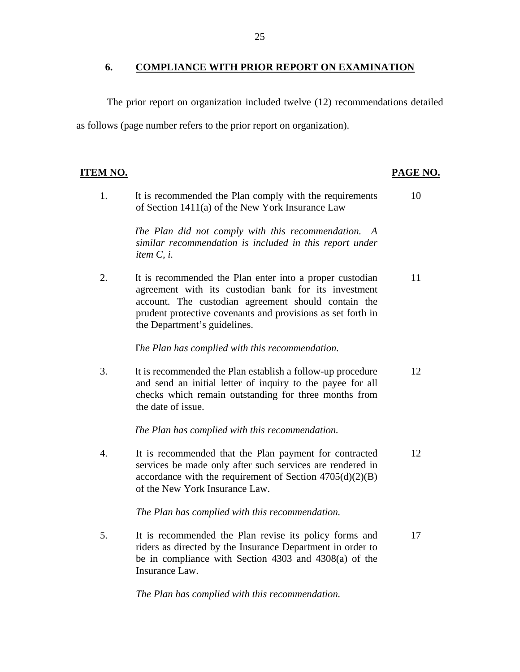#### <span id="page-26-0"></span>**6. COMPLIANCE WITH PRIOR REPORT ON EXAMINATION**

The prior report on organization included twelve (12) recommendations detailed as follows (page number refers to the prior report on organization).

## PAGE NO.

1. It is recommended the Plan comply with the requirements 10 of Section 1411(a) of the New York Insurance Law

> *The Plan did not comply with this recommendation. A similar recommendation is included in this report under item C, i.*

2. It is recommended the Plan enter into a proper custodian 11 agreement with its custodian bank for its investment account. The custodian agreement should contain the prudent protective covenants and provisions as set forth in the Department's guidelines.

### T*he Plan has complied with this recommendation.*

3. It is recommended the Plan establish a follow-up procedure 12 and send an initial letter of inquiry to the payee for all checks which remain outstanding for three months from the date of issue.

*The Plan has complied with this recommendation.* 

4. It is recommended that the Plan payment for contracted 12 services be made only after such services are rendered in accordance with the requirement of Section  $4705(d)(2)(B)$ of the New York Insurance Law.

*The Plan has complied with this recommendation.* 

5. It is recommended the Plan revise its policy forms and 17 riders as directed by the Insurance Department in order to be in compliance with Section 4303 and 4308(a) of the Insurance Law.

*The Plan has complied with this recommendation.*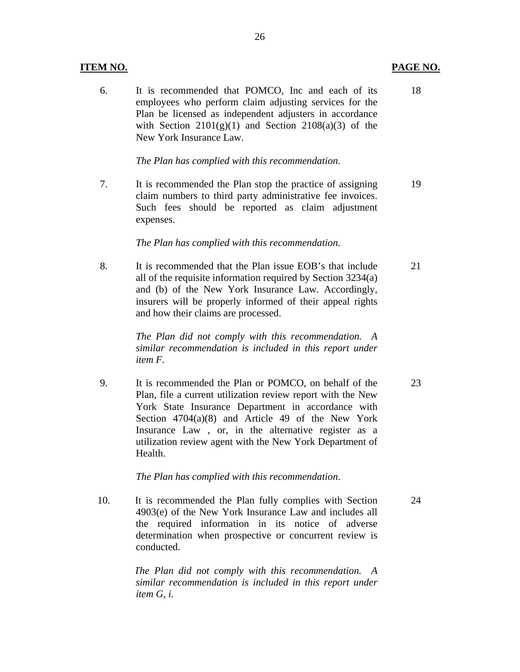#### **ITEM NO. PAGE NO.**

6. It is recommended that POMCO, Inc and each of its 18 employees who perform claim adjusting services for the Plan be licensed as independent adjusters in accordance with Section  $2101(g)(1)$  and Section  $2108(a)(3)$  of the New York Insurance Law.

*The Plan has complied with this recommendation*.

7. It is recommended the Plan stop the practice of assigning 19 claim numbers to third party administrative fee invoices. Such fees should be reported as claim adjustment expenses.

*The Plan has complied with this recommendation.* 

8. It is recommended that the Plan issue EOB's that include 21 all of the requisite information required by Section 3234(a) and (b) of the New York Insurance Law. Accordingly, insurers will be properly informed of their appeal rights and how their claims are processed.

> *The Plan did not comply with this recommendation. A similar recommendation is included in this report under item F.*

9. It is recommended the Plan or POMCO, on behalf of the 23 Plan, file a current utilization review report with the New York State Insurance Department in accordance with Section 4704(a)(8) and Article 49 of the New York Insurance Law , or, in the alternative register as a utilization review agent with the New York Department of Health.

*The Plan has complied with this recommendation*.

10. It is recommended the Plan fully complies with Section 24 4903(e) of the New York Insurance Law and includes all the required information in its notice of adverse determination when prospective or concurrent review is conducted.

> *The Plan did not comply with this recommendation. A similar recommendation is included in this report under item G, i.*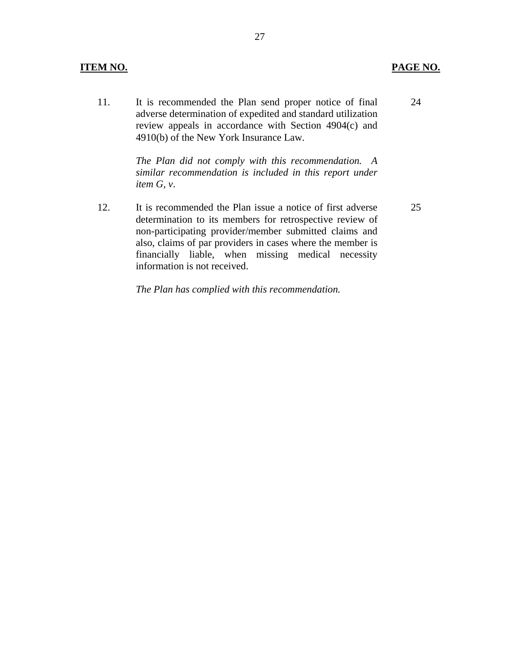#### **ITEM NO. PAGE NO.**

11. It is recommended the Plan send proper notice of final adverse determination of expedited and standard utilization review appeals in accordance with Section 4904(c) and 4910(b) of the New York Insurance Law.

> *The Plan did not comply with this recommendation. A similar recommendation is included in this report under item G, v*.

12. It is recommended the Plan issue a notice of first adverse determination to its members for retrospective review of non-participating provider/member submitted claims and also, claims of par providers in cases where the member is financially liable, when missing medical necessity information is not received.

*The Plan has complied with this recommendation.* 

25

24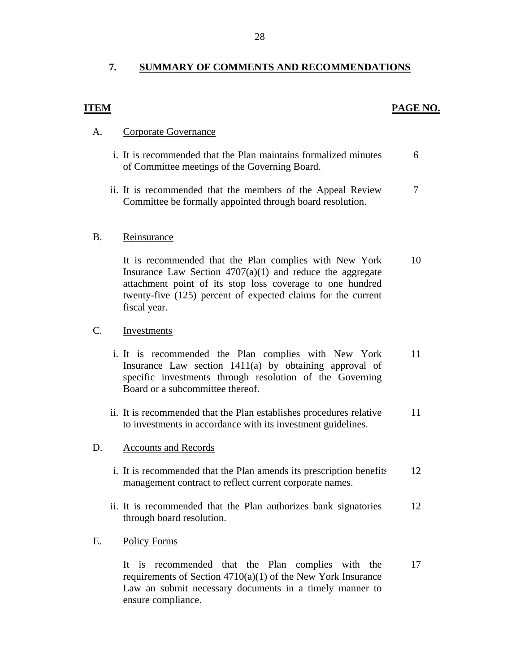## **7. SUMMARY OF COMMENTS AND RECOMMENDATIONS**

#### **ITEM** PAGE NO.

### A. Corporate Governance

- i. It is recommended that the Plan maintains formalized minutes 6 of Committee meetings of the Governing Board.
- ii. It is recommended that the members of the Appeal Review  $\frac{7}{3}$ Committee be formally appointed through board resolution.

#### B. Reinsurance

It is recommended that the Plan complies with New York Insurance Law Section  $4707(a)(1)$  and reduce the aggregate attachment point of its stop loss coverage to one hundred twenty-five (125) percent of expected claims for the current fiscal year. 10

#### C. Investments

- i. It is recommended the Plan complies with New York Insurance Law section 1411(a) by obtaining approval of specific investments through resolution of the Governing Board or a subcommittee thereof. 11
- ii. It is recommended that the Plan establishes procedures relative to investments in accordance with its investment guidelines. 11

#### D. Accounts and Records

- i. It is recommended that the Plan amends its prescription benefits management contract to reflect current corporate names. 12
- ii. It is recommended that the Plan authorizes bank signatories through board resolution. 12

### E. Policy Forms

It is recommended that the Plan complies with the requirements of Section  $4710(a)(1)$  of the New York Insurance Law an submit necessary documents in a timely manner to ensure compliance. 17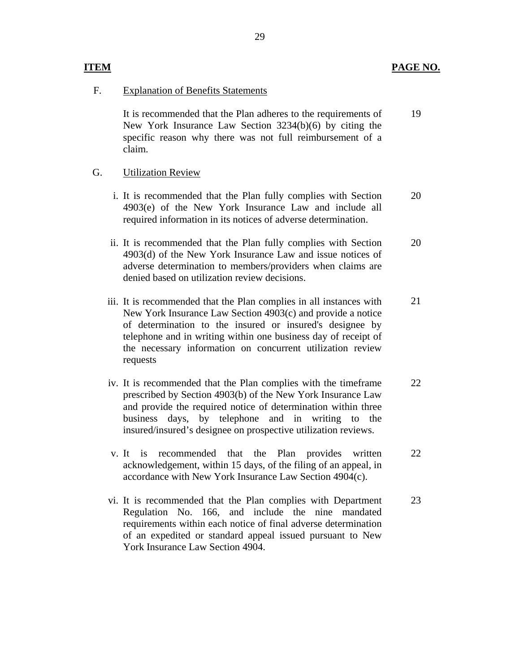#### **ITEM**

### F. Explanation of Benefits Statements

It is recommended that the Plan adheres to the requirements of New York Insurance Law Section 3234(b)(6) by citing the specific reason why there was not full reimbursement of a claim. 19

### G. Utilization Review

- i. It is recommended that the Plan fully complies with Section 4903(e) of the New York Insurance Law and include all required information in its notices of adverse determination. 20
- ii. It is recommended that the Plan fully complies with Section 4903(d) of the New York Insurance Law and issue notices of adverse determination to members/providers when claims are denied based on utilization review decisions. 20
- iii. It is recommended that the Plan complies in all instances with New York Insurance Law Section 4903(c) and provide a notice of determination to the insured or insured's designee by telephone and in writing within one business day of receipt of the necessary information on concurrent utilization review requests 21
- iv. It is recommended that the Plan complies with the timeframe prescribed by Section 4903(b) of the New York Insurance Law and provide the required notice of determination within three business days, by telephone and in writing to the insured/insured's designee on prospective utilization reviews. 22
- v. It is recommended that the Plan provides written acknowledgement, within 15 days, of the filing of an appeal, in accordance with New York Insurance Law Section 4904(c). 22
- vi. It is recommended that the Plan complies with Department Regulation No. 166, and include the nine mandated requirements within each notice of final adverse determination of an expedited or standard appeal issued pursuant to New York Insurance Law Section 4904. 23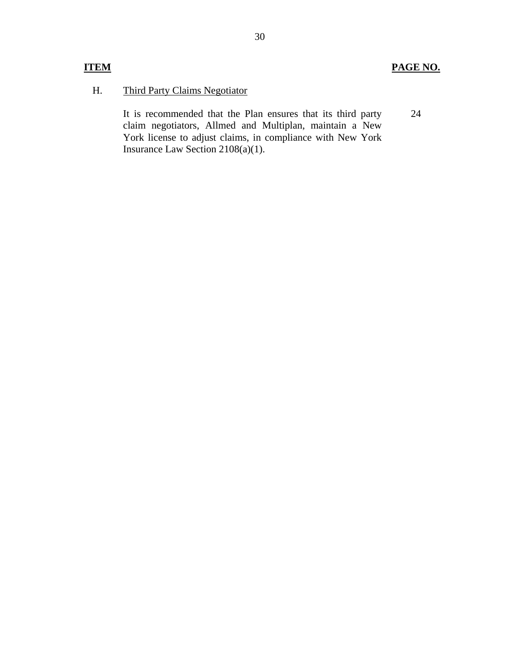24

## H. Third Party Claims Negotiator

 It is recommended that the Plan ensures that its third party claim negotiators, Allmed and Multiplan, maintain a New York license to adjust claims, in compliance with New York Insurance Law Section 2108(a)(1).